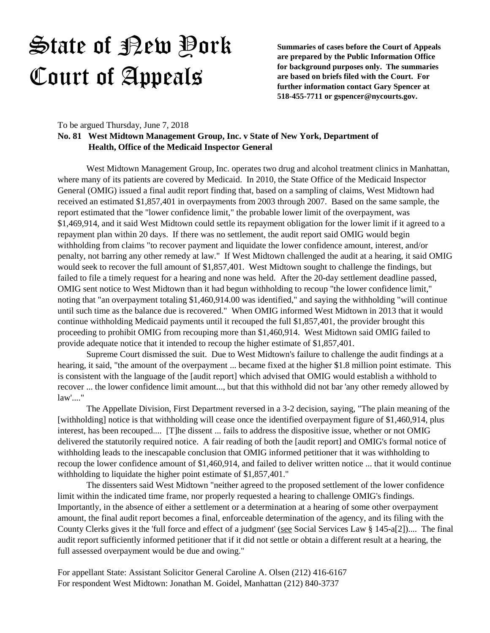**Summaries of cases before the Court of Appeals are prepared by the Public Information Office for background purposes only. The summaries are based on briefs filed with the Court. For further information contact Gary Spencer at 518-455-7711 or gspencer@nycourts.gov.**

To be argued Thursday, June 7, 2018

### **No. 81 West Midtown Management Group, Inc. v State of New York, Department of Health, Office of the Medicaid Inspector General**

West Midtown Management Group, Inc. operates two drug and alcohol treatment clinics in Manhattan, where many of its patients are covered by Medicaid. In 2010, the State Office of the Medicaid Inspector General (OMIG) issued a final audit report finding that, based on a sampling of claims, West Midtown had received an estimated \$1,857,401 in overpayments from 2003 through 2007. Based on the same sample, the report estimated that the "lower confidence limit," the probable lower limit of the overpayment, was \$1,469,914, and it said West Midtown could settle its repayment obligation for the lower limit if it agreed to a repayment plan within 20 days. If there was no settlement, the audit report said OMIG would begin withholding from claims "to recover payment and liquidate the lower confidence amount, interest, and/or penalty, not barring any other remedy at law." If West Midtown challenged the audit at a hearing, it said OMIG would seek to recover the full amount of \$1,857,401. West Midtown sought to challenge the findings, but failed to file a timely request for a hearing and none was held. After the 20-day settlement deadline passed, OMIG sent notice to West Midtown than it had begun withholding to recoup "the lower confidence limit," noting that "an overpayment totaling \$1,460,914.00 was identified," and saying the withholding "will continue until such time as the balance due is recovered." When OMIG informed West Midtown in 2013 that it would continue withholding Medicaid payments until it recouped the full \$1,857,401, the provider brought this proceeding to prohibit OMIG from recouping more than \$1,460,914. West Midtown said OMIG failed to provide adequate notice that it intended to recoup the higher estimate of \$1,857,401.

Supreme Court dismissed the suit. Due to West Midtown's failure to challenge the audit findings at a hearing, it said, "the amount of the overpayment ... became fixed at the higher \$1.8 million point estimate. This is consistent with the language of the [audit report] which advised that OMIG would establish a withhold to recover ... the lower confidence limit amount..., but that this withhold did not bar 'any other remedy allowed by law'...."

The Appellate Division, First Department reversed in a 3-2 decision, saying, "The plain meaning of the [withholding] notice is that withholding will cease once the identified overpayment figure of \$1,460,914, plus interest, has been recouped.... [T]he dissent ... fails to address the dispositive issue, whether or not OMIG delivered the statutorily required notice. A fair reading of both the [audit report] and OMIG's formal notice of withholding leads to the inescapable conclusion that OMIG informed petitioner that it was withholding to recoup the lower confidence amount of \$1,460,914, and failed to deliver written notice ... that it would continue withholding to liquidate the higher point estimate of \$1,857,401."

The dissenters said West Midtown "neither agreed to the proposed settlement of the lower confidence limit within the indicated time frame, nor properly requested a hearing to challenge OMIG's findings. Importantly, in the absence of either a settlement or a determination at a hearing of some other overpayment amount, the final audit report becomes a final, enforceable determination of the agency, and its filing with the County Clerks gives it the 'full force and effect of a judgment' (see Social Services Law § 145-a[2]).... The final audit report sufficiently informed petitioner that if it did not settle or obtain a different result at a hearing, the full assessed overpayment would be due and owing."

For appellant State: Assistant Solicitor General Caroline A. Olsen (212) 416-6167 For respondent West Midtown: Jonathan M. Goidel, Manhattan (212) 840-3737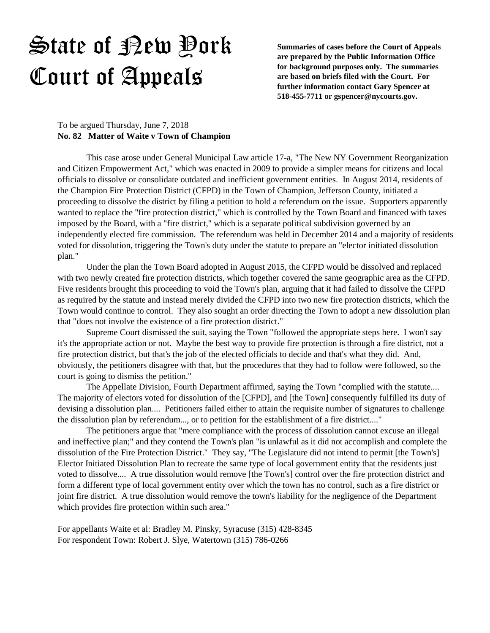**Summaries of cases before the Court of Appeals are prepared by the Public Information Office for background purposes only. The summaries are based on briefs filed with the Court. For further information contact Gary Spencer at 518-455-7711 or gspencer@nycourts.gov.**

#### To be argued Thursday, June 7, 2018 **No. 82 Matter of Waite v Town of Champion**

This case arose under General Municipal Law article 17-a, "The New NY Government Reorganization and Citizen Empowerment Act," which was enacted in 2009 to provide a simpler means for citizens and local officials to dissolve or consolidate outdated and inefficient government entities. In August 2014, residents of the Champion Fire Protection District (CFPD) in the Town of Champion, Jefferson County, initiated a proceeding to dissolve the district by filing a petition to hold a referendum on the issue. Supporters apparently wanted to replace the "fire protection district," which is controlled by the Town Board and financed with taxes imposed by the Board, with a "fire district," which is a separate political subdivision governed by an independently elected fire commission. The referendum was held in December 2014 and a majority of residents voted for dissolution, triggering the Town's duty under the statute to prepare an "elector initiated dissolution plan."

Under the plan the Town Board adopted in August 2015, the CFPD would be dissolved and replaced with two newly created fire protection districts, which together covered the same geographic area as the CFPD. Five residents brought this proceeding to void the Town's plan, arguing that it had failed to dissolve the CFPD as required by the statute and instead merely divided the CFPD into two new fire protection districts, which the Town would continue to control. They also sought an order directing the Town to adopt a new dissolution plan that "does not involve the existence of a fire protection district."

Supreme Court dismissed the suit, saying the Town "followed the appropriate steps here. I won't say it's the appropriate action or not. Maybe the best way to provide fire protection is through a fire district, not a fire protection district, but that's the job of the elected officials to decide and that's what they did. And, obviously, the petitioners disagree with that, but the procedures that they had to follow were followed, so the court is going to dismiss the petition."

The Appellate Division, Fourth Department affirmed, saying the Town "complied with the statute.... The majority of electors voted for dissolution of the [CFPD], and [the Town] consequently fulfilled its duty of devising a dissolution plan.... Petitioners failed either to attain the requisite number of signatures to challenge the dissolution plan by referendum..., or to petition for the establishment of a fire district...."

The petitioners argue that "mere compliance with the process of dissolution cannot excuse an illegal and ineffective plan;" and they contend the Town's plan "is unlawful as it did not accomplish and complete the dissolution of the Fire Protection District." They say, "The Legislature did not intend to permit [the Town's] Elector Initiated Dissolution Plan to recreate the same type of local government entity that the residents just voted to dissolve.... A true dissolution would remove [the Town's] control over the fire protection district and form a different type of local government entity over which the town has no control, such as a fire district or joint fire district. A true dissolution would remove the town's liability for the negligence of the Department which provides fire protection within such area."

For appellants Waite et al: Bradley M. Pinsky, Syracuse (315) 428-8345 For respondent Town: Robert J. Slye, Watertown (315) 786-0266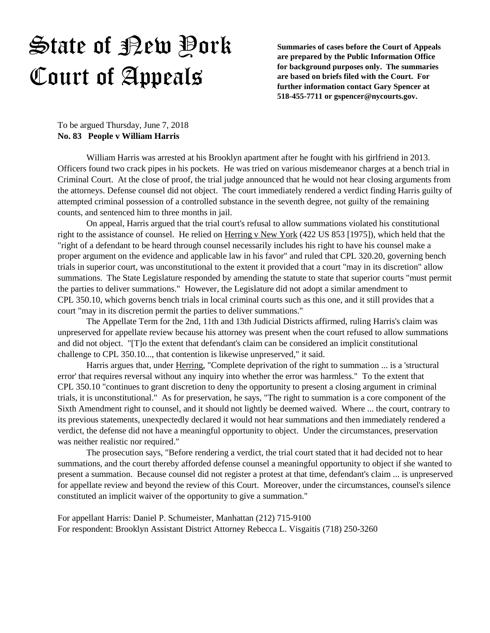**Summaries of cases before the Court of Appeals are prepared by the Public Information Office for background purposes only. The summaries are based on briefs filed with the Court. For further information contact Gary Spencer at 518-455-7711 or gspencer@nycourts.gov.**

To be argued Thursday, June 7, 2018 **No. 83 People v William Harris**

William Harris was arrested at his Brooklyn apartment after he fought with his girlfriend in 2013. Officers found two crack pipes in his pockets. He was tried on various misdemeanor charges at a bench trial in Criminal Court. At the close of proof, the trial judge announced that he would not hear closing arguments from the attorneys. Defense counsel did not object. The court immediately rendered a verdict finding Harris guilty of attempted criminal possession of a controlled substance in the seventh degree, not guilty of the remaining counts, and sentenced him to three months in jail.

On appeal, Harris argued that the trial court's refusal to allow summations violated his constitutional right to the assistance of counsel. He relied on Herring v New York (422 US 853 [1975]), which held that the "right of a defendant to be heard through counsel necessarily includes his right to have his counsel make a proper argument on the evidence and applicable law in his favor" and ruled that CPL 320.20, governing bench trials in superior court, was unconstitutional to the extent it provided that a court "may in its discretion" allow summations. The State Legislature responded by amending the statute to state that superior courts "must permit the parties to deliver summations." However, the Legislature did not adopt a similar amendment to CPL 350.10, which governs bench trials in local criminal courts such as this one, and it still provides that a court "may in its discretion permit the parties to deliver summations."

The Appellate Term for the 2nd, 11th and 13th Judicial Districts affirmed, ruling Harris's claim was unpreserved for appellate review because his attorney was present when the court refused to allow summations and did not object. "[T]o the extent that defendant's claim can be considered an implicit constitutional challenge to CPL 350.10..., that contention is likewise unpreserved," it said.

Harris argues that, under Herring, "Complete deprivation of the right to summation ... is a 'structural error' that requires reversal without any inquiry into whether the error was harmless." To the extent that CPL 350.10 "continues to grant discretion to deny the opportunity to present a closing argument in criminal trials, it is unconstitutional." As for preservation, he says, "The right to summation is a core component of the Sixth Amendment right to counsel, and it should not lightly be deemed waived. Where ... the court, contrary to its previous statements, unexpectedly declared it would not hear summations and then immediately rendered a verdict, the defense did not have a meaningful opportunity to object. Under the circumstances, preservation was neither realistic nor required."

The prosecution says, "Before rendering a verdict, the trial court stated that it had decided not to hear summations, and the court thereby afforded defense counsel a meaningful opportunity to object if she wanted to present a summation. Because counsel did not register a protest at that time, defendant's claim ... is unpreserved for appellate review and beyond the review of this Court. Moreover, under the circumstances, counsel's silence constituted an implicit waiver of the opportunity to give a summation."

For appellant Harris: Daniel P. Schumeister, Manhattan (212) 715-9100 For respondent: Brooklyn Assistant District Attorney Rebecca L. Visgaitis (718) 250-3260